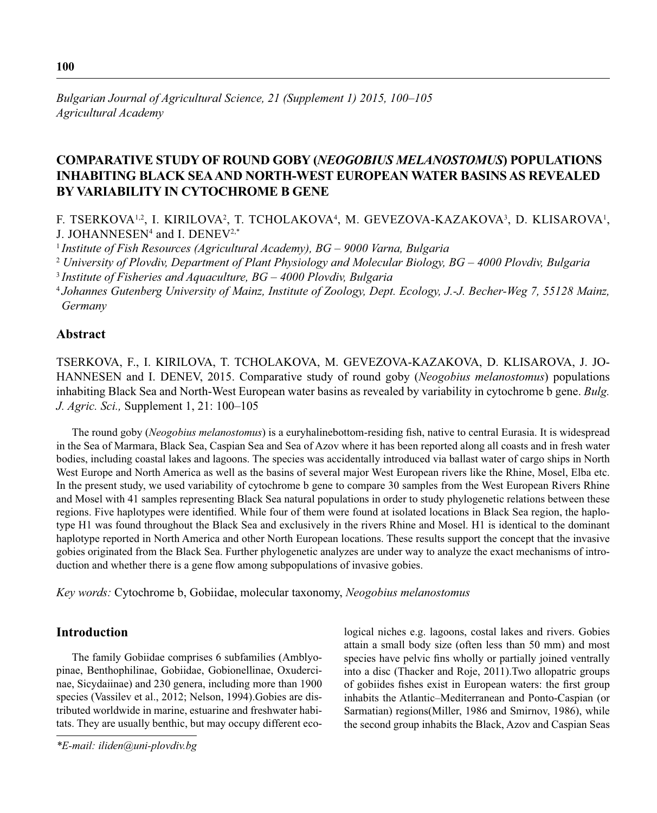# **COMPARATIVE STUDY OF ROUND GOBY (***NEOGOBIUS MELANOSTOMUS***) POPULATIONS INHABITING BLACK SEA AND NORTH-WEST EUROPEAN WATER BASINS AS REVEALED BY VARIABILITY IN CYTOCHROME B GENE**

F. TSERKOVA<sup>1,2</sup>, I. KIRILOVA<sup>2</sup>, T. TCHOLAKOVA<sup>4</sup>, M. GEVEZOVA-KAZAKOVA<sup>3</sup>, D. KLISAROVA<sup>1</sup>, J. JOHANNESEN4 and I. DENEV2,\*

<sup>1</sup>*Institute of Fish Resources (Agricultural Academy), BG – 9000 Varna, Bulgaria*

<sup>2</sup> *University of Plovdiv, Department of Plant Physiology and Molecular Biology, BG – 4000 Plovdiv, Bulgaria*

<sup>3</sup>*Institute of Fisheries and Aquaculture, BG – 4000 Plovdiv, Bulgaria*

<sup>4</sup>*Johannes Gutenberg University of Mainz, Institute of Zoology, Dept. Ecology, J.-J. Becher-Weg 7, 55128 Mainz, Germany*

# **Abstract**

TSERKOVA, F., I. KIRILOVA, T. TCHOLAKOVA, M. GEVEZOVA-KAZAKOVA, D. KLISAROVA, J. JO-HANNESEN and I. DENEV, 2015. Comparative study of round goby (*Neogobius melanostomus*) populations inhabiting Black Sea and North-West European water basins as revealed by variability in cytochrome b gene. *Bulg. J. Agric. Sci.,* Supplement 1, 21: 100–105

The round goby (*Neogobius melanostomus*) is a euryhalinebottom-residing fish, native to central Eurasia. It is widespread in the Sea of Marmara, Black Sea, Caspian Sea and Sea of Azov where it has been reported along all coasts and in fresh water bodies, including coastal lakes and lagoons. The species was accidentally introduced via ballast water of cargo ships in North West Europe and North America as well as the basins of several major West European rivers like the Rhine, Mosel, Elba etc. In the present study, we used variability of cytochrome b gene to compare 30 samples from the West European Rivers Rhine and Mosel with 41 samples representing Black Sea natural populations in order to study phylogenetic relations between these regions. Five haplotypes were identified. While four of them were found at isolated locations in Black Sea region, the haplotype H1 was found throughout the Black Sea and exclusively in the rivers Rhine and Mosel. H1 is identical to the dominant haplotype reported in North America and other North European locations. These results support the concept that the invasive gobies originated from the Black Sea. Further phylogenetic analyzes are under way to analyze the exact mechanisms of introduction and whether there is a gene flow among subpopulations of invasive gobies.

*Key words:* Cytochrome b, Gobiidae, molecular taxonomy, *Neogobius melanostomus*

# **Introduction**

The family Gobiidae comprises 6 subfamilies (Amblyopinae, Benthophilinae, Gobiidae, Gobionellinae, Oxudercinae, Sicydaiinae) and 230 genera, including more than 1900 species (Vassilev et al., 2012; Nelson, 1994).Gobies are distributed worldwide in marine, estuarine and freshwater habitats. They are usually benthic, but may occupy different eco-

*\*E-mail: iliden@uni-plovdiv.bg*

logical niches e.g. lagoons, costal lakes and rivers. Gobies attain a small body size (often less than 50 mm) and most species have pelvic fins wholly or partially joined ventrally into a disc (Thacker and Roje, 2011).Two allopatric groups of gobiides fishes exist in European waters: the first group inhabits the Atlantic–Mediterranean and Ponto-Caspian (or Sarmatian) regions(Miller, 1986 and Smirnov, 1986), while the second group inhabits the Black, Azov and Caspian Seas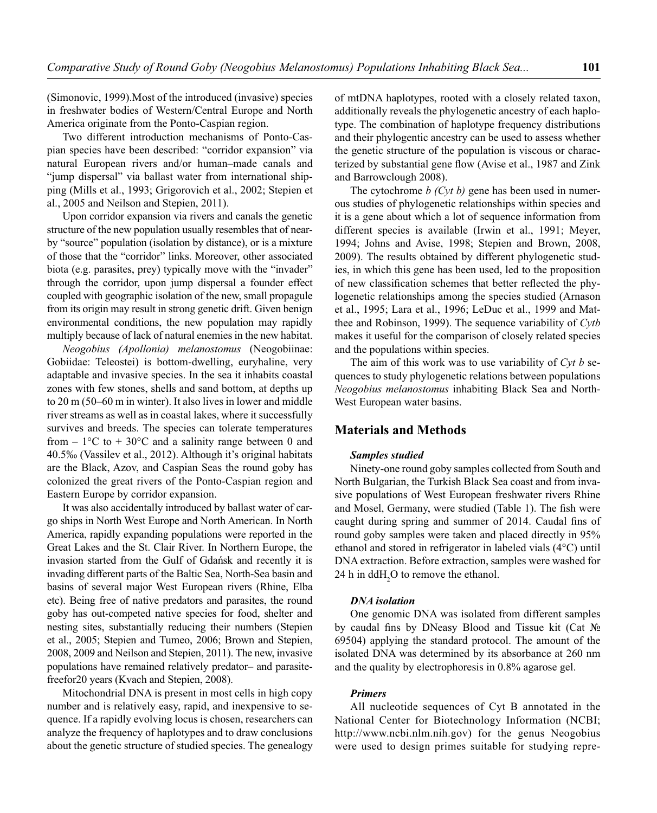(Simonovic, 1999).Most of the introduced (invasive) species in freshwater bodies of Western/Central Europe and North America originate from the Ponto-Caspian region.

Two different introduction mechanisms of Ponto-Caspian species have been described: "corridor expansion" via natural European rivers and/or human–made canals and "jump dispersal" via ballast water from international shipping (Mills et al., 1993; Grigorovich et al., 2002; Stepien et al., 2005 and Neilson and Stepien, 2011).

Upon corridor expansion via rivers and canals the genetic structure of the new population usually resembles that of nearby "source" population (isolation by distance), or is a mixture of those that the "corridor" links. Moreover, other associated biota (e.g. parasites, prey) typically move with the "invader" through the corridor, upon jump dispersal a founder effect coupled with geographic isolation of the new, small propagule from its origin may result in strong genetic drift. Given benign environmental conditions, the new population may rapidly multiply because of lack of natural enemies in the new habitat.

*Neogobius (Apollonia) melanostomus* (Neogobiinae: Gobiidae: Teleostei) is bottom-dwelling, euryhaline, very adaptable and invasive species. In the sea it inhabits coastal zones with few stones, shells and sand bottom, at depths up to 20 m (50–60 m in winter). It also lives in lower and middle river streams as well as in coastal lakes, where it successfully survives and breeds. The species can tolerate temperatures from  $-1$ °C to  $+30$ °C and a salinity range between 0 and 40.5‰ (Vassilev et al., 2012). Although it's original habitats are the Black, Azov, and Caspian Seas the round goby has colonized the great rivers of the Ponto-Caspian region and Eastern Europe by corridor expansion.

It was also accidentally introduced by ballast water of cargo ships in North West Europe and North American. In North America, rapidly expanding populations were reported in the Great Lakes and the St. Clair River. In Northern Europe, the invasion started from the Gulf of Gdańsk and recently it is invading different parts of the Baltic Sea, North-Sea basin and basins of several major West European rivers (Rhine, Elba etc). Being free of native predators and parasites, the round goby has out-competed native species for food, shelter and nesting sites, substantially reducing their numbers (Stepien et al., 2005; Stepien and Tumeo, 2006; Brown and Stepien, 2008, 2009 and Neilson and Stepien, 2011). The new, invasive populations have remained relatively predator– and parasitefreefor20 years (Kvach and Stepien, 2008).

Mitochondrial DNA is present in most cells in high copy number and is relatively easy, rapid, and inexpensive to sequence. If a rapidly evolving locus is chosen, researchers can analyze the frequency of haplotypes and to draw conclusions about the genetic structure of studied species. The genealogy of mtDNA haplotypes, rooted with a closely related taxon, additionally reveals the phylogenetic ancestry of each haplotype. The combination of haplotype frequency distributions and their phylogentic ancestry can be used to assess whether the genetic structure of the population is viscous or characterized by substantial gene flow (Avise et al., 1987 and Zink and Barrowclough 2008).

The cytochrome *b* (Cyt *b*) gene has been used in numerous studies of phylogenetic relationships within species and it is a gene about which a lot of sequence information from different species is available (Irwin et al., 1991; Meyer, 1994; Johns and Avise, 1998; Stepien and Brown, 2008, 2009). The results obtained by different phylogenetic studies, in which this gene has been used, led to the proposition of new classification schemes that better reflected the phylogenetic relationships among the species studied (Arnason et al., 1995; Lara et al., 1996; LeDuc et al., 1999 and Matthee and Robinson, 1999). The sequence variability of *Cytb*  makes it useful for the comparison of closely related species and the populations within species.

The aim of this work was to use variability of *Cyt b* sequences to study phylogenetic relations between populations *Neogobius melanostomus* inhabiting Black Sea and North-West European water basins.

# **Materials and Methods**

## *Samples studied*

Ninety-one round goby samples collected from South and North Bulgarian, the Turkish Black Sea coast and from invasive populations of West European freshwater rivers Rhine and Mosel, Germany, were studied (Table 1). The fish were caught during spring and summer of 2014. Caudal fins of round goby samples were taken and placed directly in 95% ethanol and stored in refrigerator in labeled vials (4°C) until DNA extraction. Before extraction, samples were washed for 24 h in  $ddH<sub>2</sub>O$  to remove the ethanol.

#### *DNA isolation*

One genomic DNA was isolated from different samples by caudal fins by DNeasy Blood and Tissue kit (Cat  $\mathbb{N}_2$ 69504) applying the standard protocol. The amount of the isolated DNA was determined by its absorbance at 260 nm and the quality by electrophoresis in 0.8% agarose gel.

### *Primers*

All nucleotide sequences of Cyt B annotated in the National Center for Biotechnology Information (NCBI; http://www.ncbi.nlm.nih.gov) for the genus Neogobius were used to design primes suitable for studying repre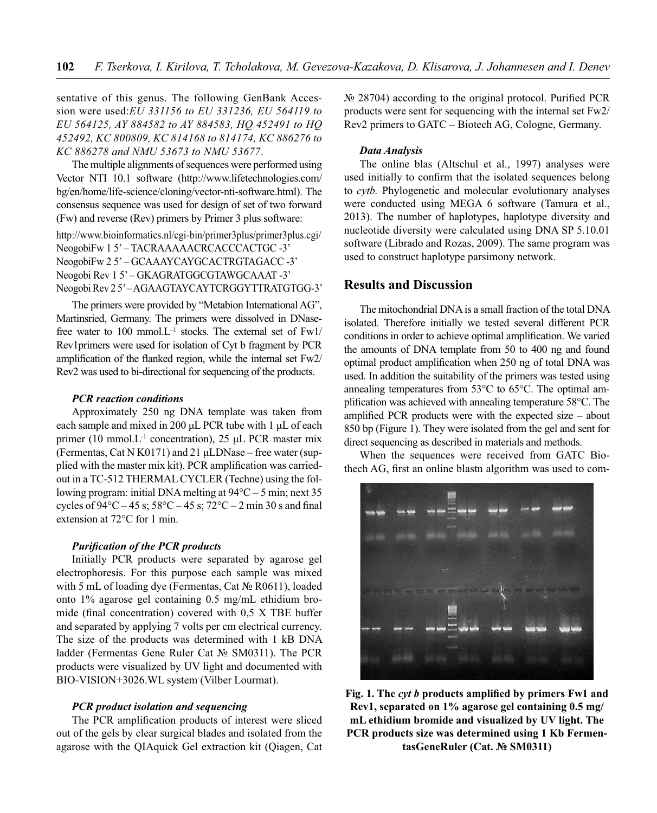sentative of this genus. The following GenBank Accession were used:*EU 331156 to EU 331236, EU 564119 to EU 564125, AY 884582 to AY 884583, HQ 452491 to HQ 452492, KC 800809, KC 814168 to 814174, KC 886276 to KC 886278 and NMU 53673 to NMU 53677*.

The multiple alignments of sequences were performed using Vector NTI 10.1 software (http://www.lifetechnologies.com/ bg/en/home/life-science/cloning/vector-nti-software.html). The consensus sequence was used for design of set of two forward (Fw) and reverse (Rev) primers by Primer 3 plus software: http://www.bioinformatics.nl/cgi-bin/primer3plus/primer3plus.cgi/ NeogobiFw 1 5' - TACRAAAAACRCACCCACTGC -3' NeogobiFw 2 5' – GCAAAYCAYGCACTRGTAGACC -3' Neogobi Rev 1 5' – GKAGRATGGCGTAWGCAAAT -3' Neogobi Rev 2 5' – AGAAGTAYCAYTCRGGYTTRATGTGG-3'

The primers were provided by "Metabion International AG", Martinsried, Germany. The primers were dissolved in DNasefree water to 100 mmol. $L^{-1}$  stocks. The external set of  $Fw1$ / Rev1primers were used for isolation of Cyt b fragment by PCR amplification of the flanked region, while the internal set  $Fw2$ Rev2 was used to bi-directional for sequencing of the products.

## *PCR reaction conditions*

Approximately 250 ng DNA template was taken from each sample and mixed in 200 μL PCR tube with 1 μL of each primer (10 mmol.L<sup>-1</sup> concentration), 25 μL PCR master mix (Fermentas, Cat N K0171) and 21 μLDNase – free water (supplied with the master mix kit). PCR amplification was carriedout in a TC-512 THERMAL CYCLER (Techne) using the following program: initial DNA melting at 94°C – 5 min; next 35 cycles of  $94^{\circ}$ C – 45 s;  $58^{\circ}$ C – 45 s;  $72^{\circ}$ C – 2 min 30 s and final extension at 72°C for 1 min.

#### *Purifi cation of the PCR products*

Initially PCR products were separated by agarose gel electrophoresis. For this purpose each sample was mixed with 5 mL of loading dye (Fermentas, Cat № R0611), loaded onto 1% agarose gel containing 0.5 mg/mL ethidium bromide (final concentration) covered with  $0.5$  X TBE buffer and separated by applying 7 volts per cm electrical currency. The size of the products was determined with 1 kB DNA ladder (Fermentas Gene Ruler Cat № SM0311). The PCR products were visualized by UV light and documented with BIO-VISION+3026.WL system (Vilber Lourmat).

#### *PCR product isolation and sequencing*

The PCR amplification products of interest were sliced out of the gels by clear surgical blades and isolated from the agarose with the QIAquick Gel extraction kit (Qiagen, Cat № 28704) according to the original protocol. Purified PCR products were sent for sequencing with the internal set Fw2/ Rev2 primers to GATC – Biotech AG, Cologne, Germany.

#### *Data Analysis*

The online blas (Altschul et al., 1997) analyses were used initially to confirm that the isolated sequences belong to *cytb.* Phylogenetic and molecular evolutionary analyses were conducted using MEGA 6 software (Tamura et al., 2013). The number of haplotypes, haplotype diversity and nucleotide diversity were calculated using DNA SP 5.10.01 software (Librado and Rozas, 2009). The same program was used to construct haplotype parsimony network.

# **Results and Discussion**

The mitochondrial DNA is a small fraction of the total DNA isolated. Therefore initially we tested several different PCR conditions in order to achieve optimal amplification. We varied the amounts of DNA template from 50 to 400 ng and found optimal product amplification when 250 ng of total DNA was used. In addition the suitability of the primers was tested using annealing temperatures from 53°C to 65°C. The optimal amplification was achieved with annealing temperature 58°C. The amplified PCR products were with the expected size – about 850 bp (Figure 1). They were isolated from the gel and sent for direct sequencing as described in materials and methods.

When the sequences were received from GATC Biothech AG, first an online blastn algorithm was used to com-



Fig. 1. The *cyt b* products amplified by primers Fw1 and **Rev1, separated on 1% agarose gel containing 0.5 mg/ mL ethidium bromide and visualized by UV light. The PCR products size was determined using 1 Kb FermentasGeneRuler (Cat. № SM0311)**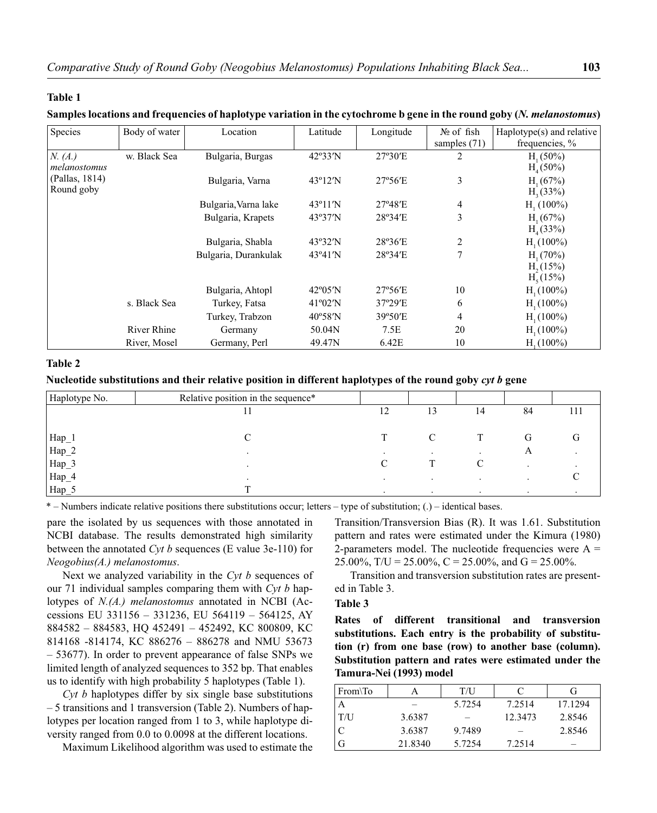### **Table 1**

## **Samples locations and frequencies of haplotype variation in the cytochrome b gene in the round goby (***N. melanostomus***)**

| Species                      | Body of water | Location             | Latitude          | Longitude        | $N_2$ of fish<br>samples $(71)$ | Haplotype $(s)$ and relative<br>frequencies, %              |
|------------------------------|---------------|----------------------|-------------------|------------------|---------------------------------|-------------------------------------------------------------|
| N. (A.)<br>melanostomus      | w. Black Sea  | Bulgaria, Burgas     | $42^{\circ}33'N$  | 27°30'E          | 2                               | H <sub>1</sub> (50%)<br>H <sub>4</sub> (50%)                |
| (Pallas, 1814)<br>Round goby |               | Bulgaria, Varna      | $43^{\circ}12'$ N | $27^{\circ}56'E$ | 3                               | $H_1(67%)$<br>H <sub>3</sub> (33%)                          |
|                              |               | Bulgaria, Varna lake | $43^{\circ}11'$ N | $27^{\circ}48'E$ | 4                               | H <sub>1</sub> (100%)                                       |
|                              |               | Bulgaria, Krapets    | 43°37'N           | 28°34'E          | 3                               | $H_1(67%)$<br>H <sub>4</sub> (33%)                          |
|                              |               | Bulgaria, Shabla     | 43°32'N           | 28°36'E          | 2                               | $H_1(100\%)$                                                |
|                              |               | Bulgaria, Durankulak | $43^{\circ}41'$ N | 28°34'E          | 7                               | $H_1(70\%)$<br>H <sub>2</sub> (15%)<br>H <sub>s</sub> (15%) |
|                              |               | Bulgaria, Ahtopl     | $42^{\circ}05'$ N | $27^{\circ}56'E$ | 10                              | $H_1(100\%)$                                                |
|                              | s. Black Sea  | Turkey, Fatsa        | $41^{\circ}02'N$  | 37°29′E          | 6                               | $H_1(100\%)$                                                |
|                              |               | Turkey, Trabzon      | $40^{\circ}58'$ N | 39°50'E          | 4                               | $H_1(100\%)$                                                |
|                              | River Rhine   | Germany              | 50.04N            | 7.5E             | 20                              | $H_1(100\%)$                                                |
|                              | River, Mosel  | Germany, Perl        | 49.47N            | 6.42E            | 10                              | H <sub>1</sub> (100%)                                       |

## **Table 2**

# **Nucleotide substitutions and their relative position in different haplotypes of the round goby** *cyt b* **gene**

| Haplotype No.                                             | Relative position in the sequence* |         |           |         |         |     |
|-----------------------------------------------------------|------------------------------------|---------|-----------|---------|---------|-----|
|                                                           |                                    | 12      | 13        | 14      | 84      | 111 |
|                                                           |                                    |         |           |         |         |     |
|                                                           |                                    |         | C         |         | G       | G   |
| $\begin{array}{c} \rm{Hap\_1} \\ \rm{Hap\_2} \end{array}$ |                                    | $\cdot$ |           |         | A       |     |
| $\mbox{Hap}\_3$                                           |                                    |         |           |         |         |     |
| ${\rm Hap}\_4$                                            | $\cdot$                            | $\cdot$ | $\bullet$ | $\cdot$ | $\cdot$ |     |
| Hap_5                                                     |                                    |         |           |         |         |     |

\* – Numbers indicate relative positions there substitutions occur; letters – type of substitution; (.) – identical bases.

pare the isolated by us sequences with those annotated in NCBI database. The results demonstrated high similarity between the annotated *Cyt b* sequences (E value 3e-110) for *Neogobius(A.) melanostomus*.

Next we analyzed variability in the *Cyt b* sequences of our 71 individual samples comparing them with *Cyt b* haplotypes of *N.(A.) melanostomus* annotated in NCBI (Accessions EU 331156 – 331236, EU 564119 – 564125, AY 884582 – 884583, HQ 452491 – 452492, KC 800809, KC 814168 -814174, KC 886276 – 886278 and NMU 53673 – 53677). In order to prevent appearance of false SNPs we limited length of analyzed sequences to 352 bp. That enables us to identify with high probability 5 haplotypes (Table 1).

*Cyt b* haplotypes differ by six single base substitutions – 5 transitions and 1 transversion (Table 2). Numbers of haplotypes per location ranged from 1 to 3, while haplotype diversity ranged from 0.0 to 0.0098 at the different locations.

Maximum Likelihood algorithm was used to estimate the

Transition/Transversion Bias (R). It was 1.61. Substitution pattern and rates were estimated under the Kimura (1980) 2-parameters model. The nucleotide frequencies were  $A =$ 25.00%, T/U = 25.00%, C = 25.00%, and G = 25.00%.

Transition and transversion substitution rates are presented in Table 3.

# **Table 3**

**Rates of different transitional and transversion substitutions. Each entry is the probability of substitution (r) from one base (row) to another base (column). Substitution pattern and rates were estimated under the Tamura-Nei (1993) model**

| From\To |         | T/I    |         |         |
|---------|---------|--------|---------|---------|
| l A     |         | 5.7254 | 7.2514  | 17.1294 |
| T/U     | 3.6387  |        | 12.3473 | 2.8546  |
| l C     | 3.6387  | 9.7489 |         | 2.8546  |
| G       | 21.8340 | 5.7254 | 7.2514  |         |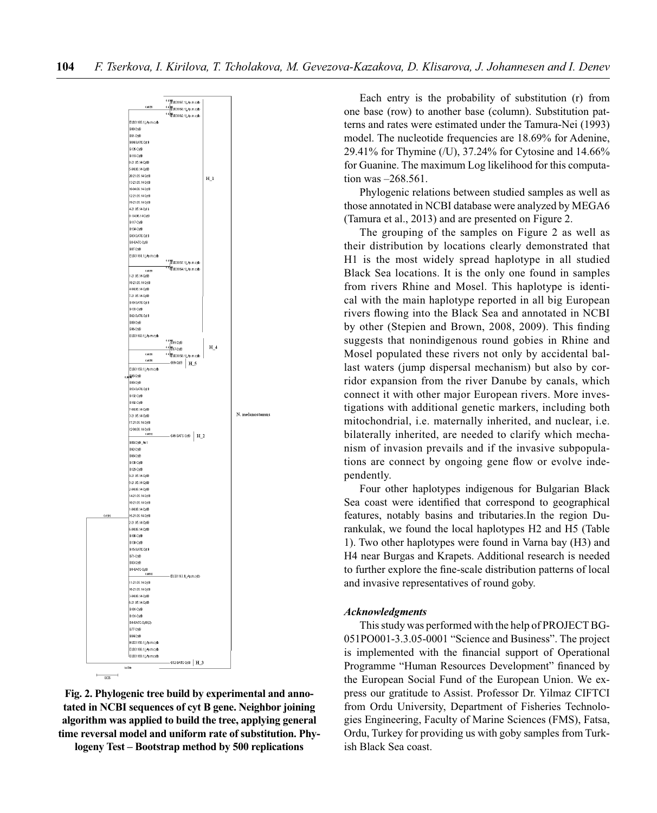

**Fig. 2. Phylogenic tree build by experimental and annotated in NCBI sequences of cyt B gene. Neighbor joining algorithm was applied to build the tree, applying general time reversal model and uniform rate of substitution. Phylogeny Test – Bootstrap method by 500 replications**

Each entry is the probability of substitution (r) from one base (row) to another base (column). Substitution patterns and rates were estimated under the Tamura-Nei (1993) model. The nucleotide frequencies are 18.69% for Adenine, 29.41% for Thymine (/U), 37.24% for Cytosine and 14.66% for Guanine. The maximum Log likelihood for this computation was –268.561.

Phylogenic relations between studied samples as well as those annotated in NCBI database were analyzed by MEGA6 (Tamura et al., 2013) and are presented on Figure 2.

The grouping of the samples on Figure 2 as well as their distribution by locations clearly demonstrated that H1 is the most widely spread haplotype in all studied Black Sea locations. It is the only one found in samples from rivers Rhine and Mosel. This haplotype is identical with the main haplotype reported in all big European rivers flowing into the Black Sea and annotated in NCBI by other (Stepien and Brown, 2008, 2009). This finding suggests that nonindigenous round gobies in Rhine and Mosel populated these rivers not only by accidental ballast waters (jump dispersal mechanism) but also by corridor expansion from the river Danube by canals, which connect it with other major European rivers. More investigations with additional genetic markers, including both mitochondrial, i.e. maternally inherited, and nuclear, i.e. bilaterally inherited, are needed to clarify which mechanism of invasion prevails and if the invasive subpopulations are connect by ongoing gene flow or evolve independently.

Four other haplotypes indigenous for Bulgarian Black Sea coast were identified that correspond to geographical features, notably basins and tributaries.In the region Durankulak, we found the local haplotypes H2 and H5 (Table 1). Two other haplotypes were found in Varna bay (H3) and H4 near Burgas and Krapets. Additional research is needed to further explore the fine-scale distribution patterns of local and invasive representatives of round goby.

### *Acknowledgments*

This study was performed with the help of PROJECT BG-051PO001-3.3.05-0001 "Science and Business". The project is implemented with the financial support of Operational Programme "Human Resources Development" financed by the European Social Fund of the European Union. We express our gratitude to Assist. Professor Dr. Yilmaz CIFTCI from Ordu University, Department of Fisheries Technologies Engineering, Faculty of Marine Sciences (FMS), Fatsa, Ordu, Turkey for providing us with goby samples from Turkish Black Sea coast.